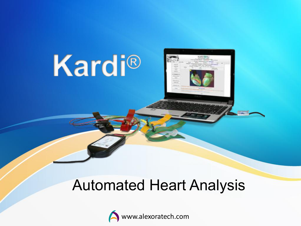# Kardi®



#### Automated Heart Analysis

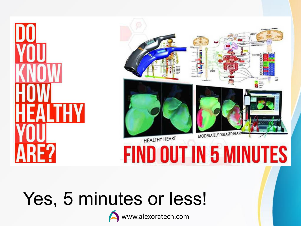



# Yes, 5 minutes or less!



www.alexoratech.com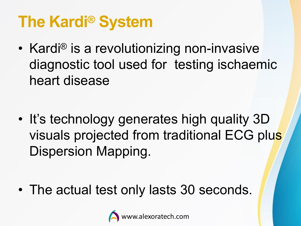## **The Kardi<sup>®</sup> System**

• Kardi<sup>®</sup> is a revolutionizing non-invasive diagnostic tool used for testing ischaemic heart disease

• It's technology generates high quality 3D visuals projected from traditional ECG plus Dispersion Mapping.

• The actual test only lasts 30 seconds.

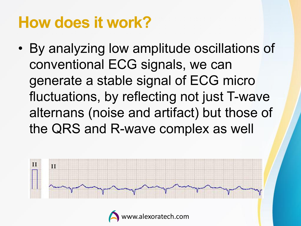## **How does it work?**

• By analyzing low amplitude oscillations of conventional ECG signals, we can generate a stable signal of ECG micro fluctuations, by reflecting not just T-wave alternans (noise and artifact) but those of the QRS and R-wave complex as well



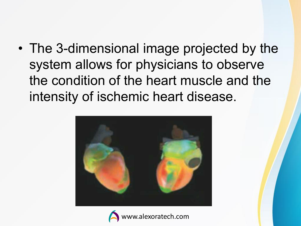• The 3-dimensional image projected by the system allows for physicians to observe the condition of the heart muscle and the intensity of ischemic heart disease.



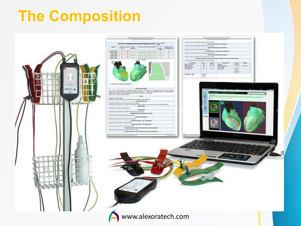#### **The Composition**

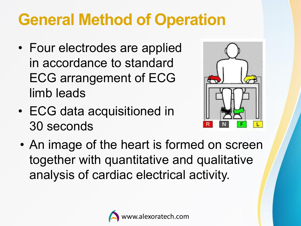## **General Method of Operation**

- Four electrodes are applied in accordance to standard ECG arrangement of ECG limb leads
- ECG data acquisitioned in 30 seconds



• An image of the heart is formed on screen together with quantitative and qualitative analysis of cardiac electrical activity.

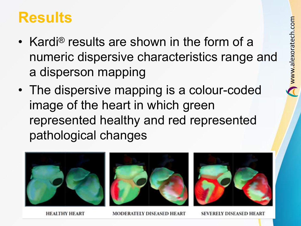#### **Results**

- Kardi® results are shown in the form of a numeric dispersive characteristics range and a disperson mapping
- The dispersive mapping is a colour-coded image of the heart in which green represented healthy and red represented pathological changes



MODERATELY DISEASED HEART

ERELY DISEASED HI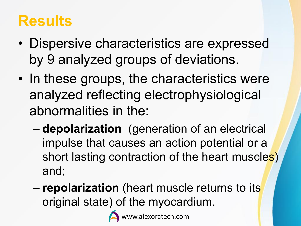#### **Results**

- Dispersive characteristics are expressed by 9 analyzed groups of deviations.
- In these groups, the characteristics were analyzed reflecting electrophysiological abnormalities in the:
	- **depolarization** (generation of an electrical impulse that causes an action potential or a short lasting contraction of the heart muscles) and;
	- **repolarization** (heart muscle returns to its original state) of the myocardium.



w.alexoratech.com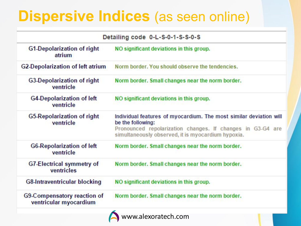### **Dispersive Indices** (as seen online)

| Detailing code 0-L-S-0-1-S-S-0-S                      |                                                                                                                                                                                                             |  |  |  |
|-------------------------------------------------------|-------------------------------------------------------------------------------------------------------------------------------------------------------------------------------------------------------------|--|--|--|
| <b>G1-Depolarization of right</b><br>atrium           | NO significant deviations in this group.                                                                                                                                                                    |  |  |  |
| <b>G2-Depolarization of left atrium</b>               | Norm border. You should observe the tendencies.                                                                                                                                                             |  |  |  |
| <b>G3-Depolarization of right</b><br>ventricle        | Norm border. Small changes near the norm border.                                                                                                                                                            |  |  |  |
| <b>G4-Depolarization of left</b><br>ventricle         | NO significant deviations in this group.                                                                                                                                                                    |  |  |  |
| G5-Repolarization of right<br>ventricle               | Individual features of myocardium. The most similar deviation will<br>be the following:<br>Pronounced repolarization changes. If changes in G3-G4 are<br>simultaneously observed, it is myocardium hypoxia. |  |  |  |
| <b>G6-Repolarization of left</b><br>ventricle         | Norm border. Small changes near the norm border.                                                                                                                                                            |  |  |  |
| <b>G7-Electrical symmetry of</b><br>ventricles        | Norm border. Small changes near the norm border.                                                                                                                                                            |  |  |  |
| <b>G8-Intraventricular blocking</b>                   | NO significant deviations in this group.                                                                                                                                                                    |  |  |  |
| G9-Compensatory reaction of<br>ventricular myocardium | Norm border. Small changes near the norm border.                                                                                                                                                            |  |  |  |
|                                                       | www.alexoratech.com                                                                                                                                                                                         |  |  |  |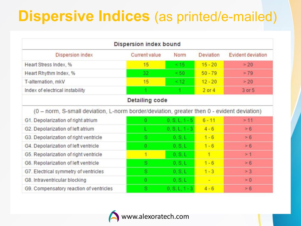### **Dispersive Indices** (as printed/e-mailed)

| Dispersion index bound                                                                     |                      |                  |                  |                          |  |  |
|--------------------------------------------------------------------------------------------|----------------------|------------------|------------------|--------------------------|--|--|
| <b>Dispersion index</b>                                                                    | <b>Current value</b> | Norm             | <b>Deviation</b> | <b>Evident deviation</b> |  |  |
| Heart Stress Index, %                                                                      | 15                   | <15              | $15 - 20$        | > 20                     |  |  |
| Heart Rhythm Index, %                                                                      | 32                   | <50              | $50 - 79$        | > 79                     |  |  |
| T-alternation, mkV                                                                         | 15                   | $\leq 12$        | $12 - 20$        | > 20                     |  |  |
| Index of electrical instability                                                            |                      |                  | $2$ or $4$       | 3 or 5                   |  |  |
| <b>Detailing code</b>                                                                      |                      |                  |                  |                          |  |  |
| (0 - norm, S-small deviation, L-norm border/deviation, greater then 0 - evident deviation) |                      |                  |                  |                          |  |  |
| G1. Depolarization of right atrium                                                         | 0                    | $0, S, L, 1 - 5$ | $6 - 11$         | > 11                     |  |  |
| G2. Depolarization of left atrium                                                          |                      | $0, S, L, 1 - 3$ | $4 - 6$          | > 6                      |  |  |
| G3. Depolarization of right ventricle                                                      | s.                   | 0, S, L          | $1 - 6$          | > 6                      |  |  |
| G4. Depolarization of left ventricle                                                       | $\bf{0}$             | 0. S.L.          | $1 - 6$          | > 6                      |  |  |
| G5. Repolarization of right ventricle                                                      | $\overline{1}$       | 0. S.L           | 1                | >1                       |  |  |
| G6. Repolarization of left ventricle                                                       | s.                   | 0, S, L          | $1 - 6$          | > 6                      |  |  |
| G7. Electrical symmetry of ventricles                                                      | s                    | 0, S, L          | $1 - 3$          | > 3                      |  |  |
| G8. Intraventricular blocking                                                              | $\theta$             | 0, S, L          | ÷                | $\geq 0$                 |  |  |
| G9. Compensatory reaction of ventricles                                                    | S.                   | $0, S, L, 1 - 3$ | $4 - 6$          | > 6                      |  |  |

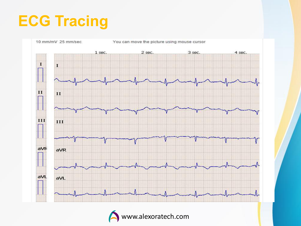### **ECG Tracing**



www.alexoratech.com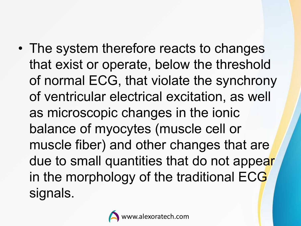• The system therefore reacts to changes that exist or operate, below the threshold of normal ECG, that violate the synchrony of ventricular electrical excitation, as well as microscopic changes in the ionic balance of myocytes (muscle cell or muscle fiber) and other changes that are due to small quantities that do not appear in the morphology of the traditional ECG signals.

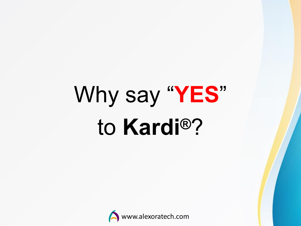# Why say "**YES**" to **Kardi®**?

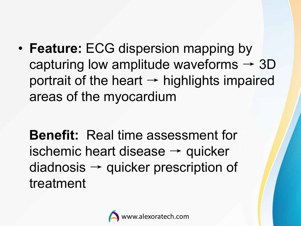• **Feature:** ECG dispersion mapping by capturing low amplitude waveforms  $\rightarrow$  3D portrait of the heart  $\rightarrow$  highlights impaired areas of the myocardium

**Benefit:** Real time assessment for ischemic heart disease  $\rightarrow$  quicker  $diadnosis \rightarrow quicker prescription of$ treatment

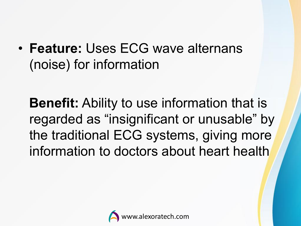• **Feature:** Uses ECG wave alternans (noise) for information

**Benefit:** Ability to use information that is regarded as "insignificant or unusable" by the traditional ECG systems, giving more information to doctors about heart health

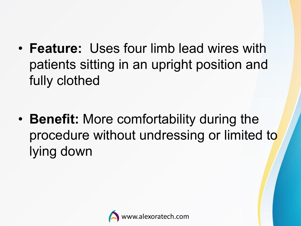• **Feature:** Uses four limb lead wires with patients sitting in an upright position and fully clothed

• **Benefit:** More comfortability during the procedure without undressing or limited to lying down

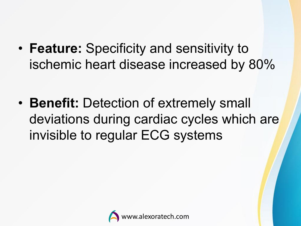• **Feature:** Specificity and sensitivity to ischemic heart disease increased by 80%

• **Benefit:** Detection of extremely small deviations during cardiac cycles which are invisible to regular ECG systems

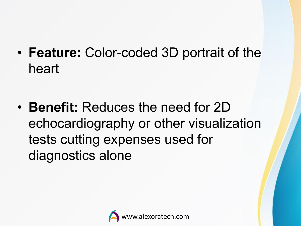• **Feature:** Color-coded 3D portrait of the heart

• **Benefit:** Reduces the need for 2D echocardiography or other visualization tests cutting expenses used for diagnostics alone

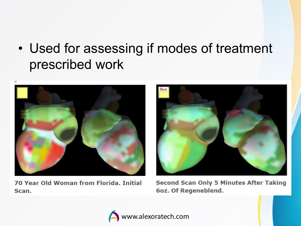• Used for assessing if modes of treatment prescribed work



70 Year Old Woman from Florida, Initial Scan.



**Second Scan Only 5 Minutes After Taking** 6oz. Of Regeneblend.

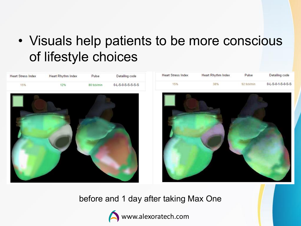#### • Visuals help patients to be more conscious of lifestyle choices



before and 1 day after taking Max One



www.alexoratech.com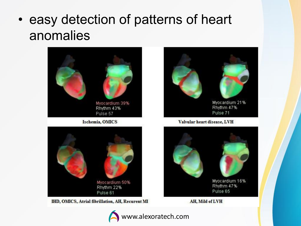#### • easy detection of patterns of heart anomalies



IHD, OMICS, Atrial fibrillation, AH, Recurent MI



Valvular heart disease, LVH





AH, Mild of LVH